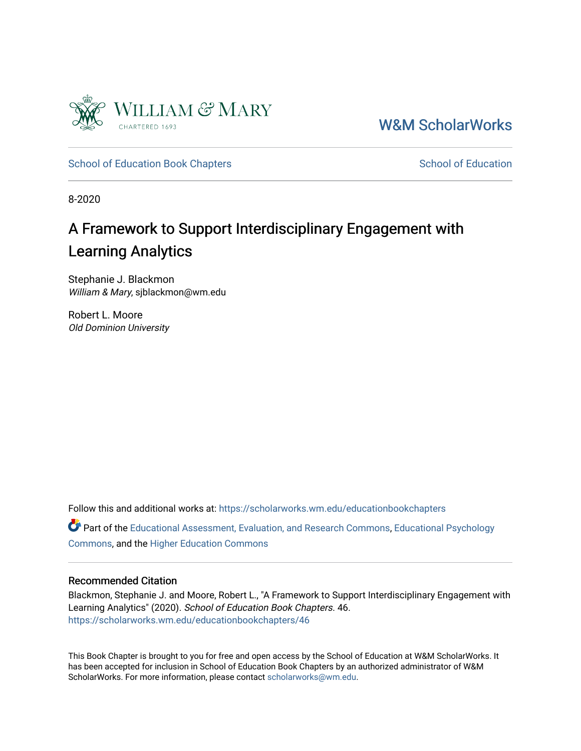

[W&M ScholarWorks](https://scholarworks.wm.edu/) 

[School of Education Book Chapters](https://scholarworks.wm.edu/educationbookchapters) [School of Education](https://scholarworks.wm.edu/education) School of Education

8-2020

# A Framework to Support Interdisciplinary Engagement with Learning Analytics

Stephanie J. Blackmon William & Mary, sjblackmon@wm.edu

Robert L. Moore Old Dominion University

Follow this and additional works at: [https://scholarworks.wm.edu/educationbookchapters](https://scholarworks.wm.edu/educationbookchapters?utm_source=scholarworks.wm.edu%2Feducationbookchapters%2F46&utm_medium=PDF&utm_campaign=PDFCoverPages) Part of the [Educational Assessment, Evaluation, and Research Commons](http://network.bepress.com/hgg/discipline/796?utm_source=scholarworks.wm.edu%2Feducationbookchapters%2F46&utm_medium=PDF&utm_campaign=PDFCoverPages), [Educational Psychology](http://network.bepress.com/hgg/discipline/798?utm_source=scholarworks.wm.edu%2Feducationbookchapters%2F46&utm_medium=PDF&utm_campaign=PDFCoverPages) [Commons](http://network.bepress.com/hgg/discipline/798?utm_source=scholarworks.wm.edu%2Feducationbookchapters%2F46&utm_medium=PDF&utm_campaign=PDFCoverPages), and the [Higher Education Commons](http://network.bepress.com/hgg/discipline/1245?utm_source=scholarworks.wm.edu%2Feducationbookchapters%2F46&utm_medium=PDF&utm_campaign=PDFCoverPages) 

# Recommended Citation

Blackmon, Stephanie J. and Moore, Robert L., "A Framework to Support Interdisciplinary Engagement with Learning Analytics" (2020). School of Education Book Chapters. 46. [https://scholarworks.wm.edu/educationbookchapters/46](https://scholarworks.wm.edu/educationbookchapters/46?utm_source=scholarworks.wm.edu%2Feducationbookchapters%2F46&utm_medium=PDF&utm_campaign=PDFCoverPages) 

This Book Chapter is brought to you for free and open access by the School of Education at W&M ScholarWorks. It has been accepted for inclusion in School of Education Book Chapters by an authorized administrator of W&M ScholarWorks. For more information, please contact [scholarworks@wm.edu.](mailto:scholarworks@wm.edu)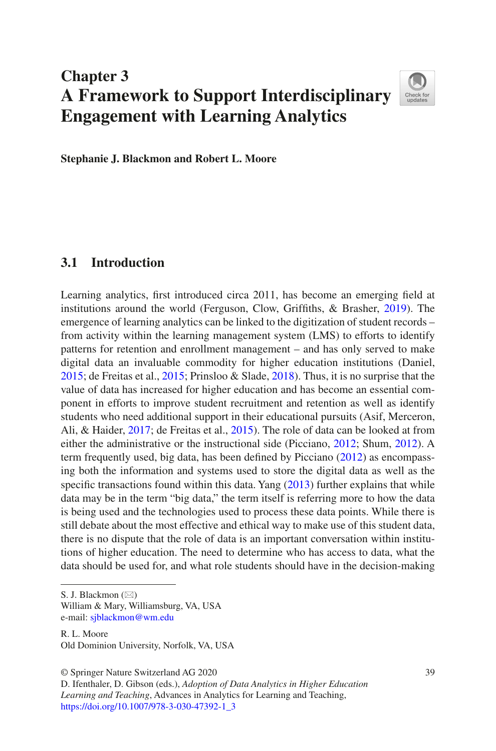# **Chapter 3 A Framework to Support Interdisciplinary Engagement with Learning Analytics**



**Stephanie J. Blackmon and Robert L. Moore**

#### **3.1 Introduction**

Learning analytics, first introduced circa 2011, has become an emerging field at institutions around the world (Ferguson, Clow, Griffiths, & Brasher, [2019](#page-13-0)). The emergence of learning analytics can be linked to the digitization of student records – from activity within the learning management system (LMS) to efforts to identify patterns for retention and enrollment management – and has only served to make digital data an invaluable commodity for higher education institutions (Daniel, [2015;](#page-12-0) de Freitas et al., [2015;](#page-12-1) Prinsloo & Slade, [2018\)](#page-13-1). Thus, it is no surprise that the value of data has increased for higher education and has become an essential component in efforts to improve student recruitment and retention as well as identify students who need additional support in their educational pursuits (Asif, Merceron, Ali, & Haider, [2017;](#page-12-2) de Freitas et al., [2015\)](#page-12-1). The role of data can be looked at from either the administrative or the instructional side (Picciano, [2012;](#page-13-2) Shum, [2012](#page-14-0)). A term frequently used, big data, has been defined by Picciano [\(2012](#page-13-2)) as encompassing both the information and systems used to store the digital data as well as the specific transactions found within this data. Yang ([2013\)](#page-14-1) further explains that while data may be in the term "big data," the term itself is referring more to how the data is being used and the technologies used to process these data points. While there is still debate about the most effective and ethical way to make use of this student data, there is no dispute that the role of data is an important conversation within institutions of higher education. The need to determine who has access to data, what the data should be used for, and what role students should have in the decision-making

S. J. Blackmon  $(\boxtimes)$ 

William & Mary, Williamsburg, VA, USA e-mail: [sjblackmon@wm.edu](mailto:sjblackmon@wm.edu)

R. L. Moore Old Dominion University, Norfolk, VA, USA

© Springer Nature Switzerland AG 2020 39

D. Ifenthaler, D. Gibson (eds.), *Adoption of Data Analytics in Higher Education Learning and Teaching*, Advances in Analytics for Learning and Teaching, [https://doi.org/10.1007/978-3-030-47392-1\\_3](https://doi.org/10.1007/978-3-030-47392-1_3#DOI)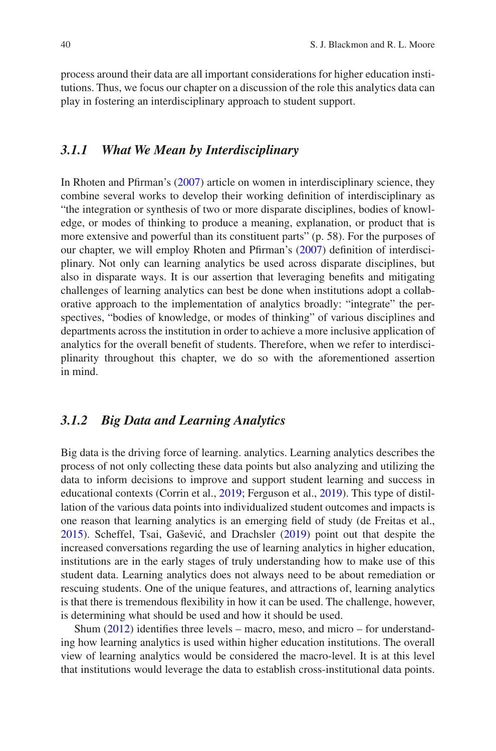process around their data are all important considerations for higher education institutions. Thus, we focus our chapter on a discussion of the role this analytics data can play in fostering an interdisciplinary approach to student support.

#### *3.1.1 What We Mean by Interdisciplinary*

In Rhoten and Pfirman's [\(2007](#page-13-3)) article on women in interdisciplinary science, they combine several works to develop their working definition of interdisciplinary as "the integration or synthesis of two or more disparate disciplines, bodies of knowledge, or modes of thinking to produce a meaning, explanation, or product that is more extensive and powerful than its constituent parts" (p. 58). For the purposes of our chapter, we will employ Rhoten and Pfirman's ([2007\)](#page-13-3) definition of interdisciplinary. Not only can learning analytics be used across disparate disciplines, but also in disparate ways. It is our assertion that leveraging benefits and mitigating challenges of learning analytics can best be done when institutions adopt a collaborative approach to the implementation of analytics broadly: "integrate" the perspectives, "bodies of knowledge, or modes of thinking" of various disciplines and departments across the institution in order to achieve a more inclusive application of analytics for the overall benefit of students. Therefore, when we refer to interdisciplinarity throughout this chapter, we do so with the aforementioned assertion in mind.

#### *3.1.2 Big Data and Learning Analytics*

Big data is the driving force of learning. analytics. Learning analytics describes the process of not only collecting these data points but also analyzing and utilizing the data to inform decisions to improve and support student learning and success in educational contexts (Corrin et al., [2019](#page-12-3); Ferguson et al., [2019](#page-13-0)). This type of distillation of the various data points into individualized student outcomes and impacts is one reason that learning analytics is an emerging field of study (de Freitas et al., [2015\)](#page-12-1). Scheffel, Tsai, Gašević, and Drachsler ([2019\)](#page-14-2) point out that despite the increased conversations regarding the use of learning analytics in higher education, institutions are in the early stages of truly understanding how to make use of this student data. Learning analytics does not always need to be about remediation or rescuing students. One of the unique features, and attractions of, learning analytics is that there is tremendous flexibility in how it can be used. The challenge, however, is determining what should be used and how it should be used.

Shum  $(2012)$  $(2012)$  identifies three levels – macro, meso, and micro – for understanding how learning analytics is used within higher education institutions. The overall view of learning analytics would be considered the macro-level. It is at this level that institutions would leverage the data to establish cross-institutional data points.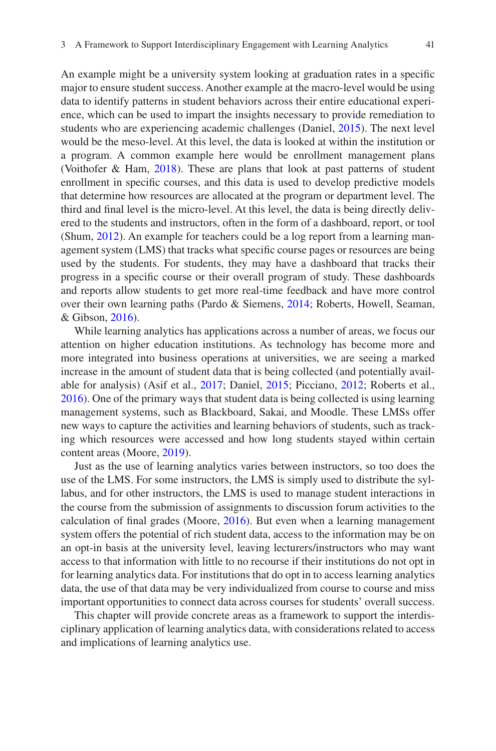An example might be a university system looking at graduation rates in a specific major to ensure student success. Another example at the macro-level would be using data to identify patterns in student behaviors across their entire educational experience, which can be used to impart the insights necessary to provide remediation to students who are experiencing academic challenges (Daniel, [2015\)](#page-12-0). The next level would be the meso-level. At this level, the data is looked at within the institution or a program. A common example here would be enrollment management plans (Voithofer & Ham, [2018\)](#page-14-3). These are plans that look at past patterns of student enrollment in specific courses, and this data is used to develop predictive models that determine how resources are allocated at the program or department level. The third and final level is the micro-level. At this level, the data is being directly delivered to the students and instructors, often in the form of a dashboard, report, or tool (Shum, [2012\)](#page-14-0). An example for teachers could be a log report from a learning management system (LMS) that tracks what specific course pages or resources are being used by the students. For students, they may have a dashboard that tracks their progress in a specific course or their overall program of study. These dashboards and reports allow students to get more real-time feedback and have more control over their own learning paths (Pardo & Siemens, [2014;](#page-13-4) Roberts, Howell, Seaman, & Gibson, [2016](#page-14-4)).

While learning analytics has applications across a number of areas, we focus our attention on higher education institutions. As technology has become more and more integrated into business operations at universities, we are seeing a marked increase in the amount of student data that is being collected (and potentially available for analysis) (Asif et al., [2017](#page-12-2); Daniel, [2015;](#page-12-0) Picciano, [2012](#page-13-2); Roberts et al., [2016\)](#page-14-4). One of the primary ways that student data is being collected is using learning management systems, such as Blackboard, Sakai, and Moodle. These LMSs offer new ways to capture the activities and learning behaviors of students, such as tracking which resources were accessed and how long students stayed within certain content areas (Moore, [2019\)](#page-13-5).

Just as the use of learning analytics varies between instructors, so too does the use of the LMS. For some instructors, the LMS is simply used to distribute the syllabus, and for other instructors, the LMS is used to manage student interactions in the course from the submission of assignments to discussion forum activities to the calculation of final grades (Moore, [2016](#page-13-6)). But even when a learning management system offers the potential of rich student data, access to the information may be on an opt-in basis at the university level, leaving lecturers/instructors who may want access to that information with little to no recourse if their institutions do not opt in for learning analytics data. For institutions that do opt in to access learning analytics data, the use of that data may be very individualized from course to course and miss important opportunities to connect data across courses for students' overall success.

This chapter will provide concrete areas as a framework to support the interdisciplinary application of learning analytics data, with considerations related to access and implications of learning analytics use.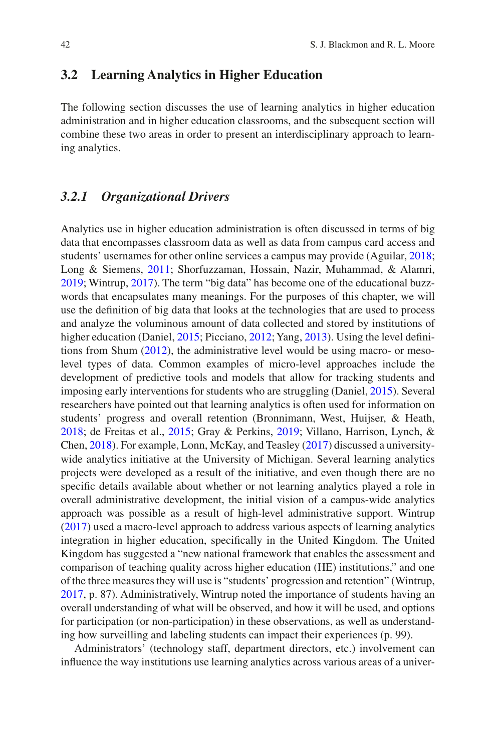#### **3.2 Learning Analytics in Higher Education**

The following section discusses the use of learning analytics in higher education administration and in higher education classrooms, and the subsequent section will combine these two areas in order to present an interdisciplinary approach to learning analytics.

#### *3.2.1 Organizational Drivers*

Analytics use in higher education administration is often discussed in terms of big data that encompasses classroom data as well as data from campus card access and students' usernames for other online services a campus may provide (Aguilar, [2018;](#page-12-4) Long & Siemens, [2011;](#page-13-7) Shorfuzzaman, Hossain, Nazir, Muhammad, & Alamri, [2019;](#page-14-5) Wintrup, [2017](#page-14-6)). The term "big data" has become one of the educational buzzwords that encapsulates many meanings. For the purposes of this chapter, we will use the definition of big data that looks at the technologies that are used to process and analyze the voluminous amount of data collected and stored by institutions of higher education (Daniel, [2015](#page-12-0); Picciano, [2012;](#page-13-2) Yang, [2013](#page-14-1)). Using the level definitions from Shum [\(2012](#page-14-0)), the administrative level would be using macro- or mesolevel types of data. Common examples of micro-level approaches include the development of predictive tools and models that allow for tracking students and imposing early interventions for students who are struggling (Daniel, [2015](#page-12-0)). Several researchers have pointed out that learning analytics is often used for information on students' progress and overall retention (Bronnimann, West, Huijser, & Heath, [2018;](#page-12-5) de Freitas et al., [2015](#page-12-1); Gray & Perkins, [2019](#page-13-8); Villano, Harrison, Lynch, & Chen, [2018](#page-14-7)). For example, Lonn, McKay, and Teasley [\(2017](#page-13-9)) discussed a universitywide analytics initiative at the University of Michigan. Several learning analytics projects were developed as a result of the initiative, and even though there are no specific details available about whether or not learning analytics played a role in overall administrative development, the initial vision of a campus-wide analytics approach was possible as a result of high-level administrative support. Wintrup [\(2017](#page-14-6)) used a macro-level approach to address various aspects of learning analytics integration in higher education, specifically in the United Kingdom. The United Kingdom has suggested a "new national framework that enables the assessment and comparison of teaching quality across higher education (HE) institutions," and one of the three measures they will use is "students' progression and retention" (Wintrup, [2017,](#page-14-6) p. 87). Administratively, Wintrup noted the importance of students having an overall understanding of what will be observed, and how it will be used, and options for participation (or non-participation) in these observations, as well as understanding how surveilling and labeling students can impact their experiences (p. 99).

Administrators' (technology staff, department directors, etc.) involvement can influence the way institutions use learning analytics across various areas of a univer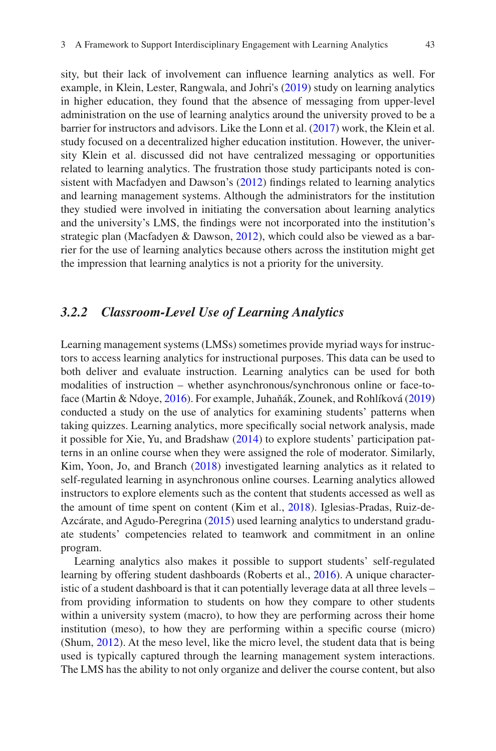sity, but their lack of involvement can influence learning analytics as well. For example, in Klein, Lester, Rangwala, and Johri's [\(2019](#page-13-10)) study on learning analytics in higher education, they found that the absence of messaging from upper-level administration on the use of learning analytics around the university proved to be a barrier for instructors and advisors. Like the Lonn et al. [\(2017](#page-13-9)) work, the Klein et al. study focused on a decentralized higher education institution. However, the university Klein et al. discussed did not have centralized messaging or opportunities related to learning analytics. The frustration those study participants noted is consistent with Macfadyen and Dawson's ([2012\)](#page-13-11) findings related to learning analytics and learning management systems. Although the administrators for the institution they studied were involved in initiating the conversation about learning analytics and the university's LMS, the findings were not incorporated into the institution's strategic plan (Macfadyen & Dawson, [2012](#page-13-11)), which could also be viewed as a barrier for the use of learning analytics because others across the institution might get the impression that learning analytics is not a priority for the university.

#### *3.2.2 Classroom-Level Use of Learning Analytics*

Learning management systems (LMSs) sometimes provide myriad ways for instructors to access learning analytics for instructional purposes. This data can be used to both deliver and evaluate instruction. Learning analytics can be used for both modalities of instruction – whether asynchronous/synchronous online or face-toface (Martin & Ndoye, [2016\)](#page-13-12). For example, Juhaňák, Zounek, and Rohlíková [\(2019](#page-13-13)) conducted a study on the use of analytics for examining students' patterns when taking quizzes. Learning analytics, more specifically social network analysis, made it possible for Xie, Yu, and Bradshaw [\(2014](#page-14-8)) to explore students' participation patterns in an online course when they were assigned the role of moderator. Similarly, Kim, Yoon, Jo, and Branch ([2018\)](#page-13-14) investigated learning analytics as it related to self-regulated learning in asynchronous online courses. Learning analytics allowed instructors to explore elements such as the content that students accessed as well as the amount of time spent on content (Kim et al., [2018](#page-13-14)). Iglesias-Pradas, Ruiz-de-Azcárate, and Agudo-Peregrina [\(2015](#page-13-15)) used learning analytics to understand graduate students' competencies related to teamwork and commitment in an online program.

Learning analytics also makes it possible to support students' self-regulated learning by offering student dashboards (Roberts et al., [2016\)](#page-14-4). A unique characteristic of a student dashboard is that it can potentially leverage data at all three levels – from providing information to students on how they compare to other students within a university system (macro), to how they are performing across their home institution (meso), to how they are performing within a specific course (micro) (Shum, [2012\)](#page-14-0). At the meso level, like the micro level, the student data that is being used is typically captured through the learning management system interactions. The LMS has the ability to not only organize and deliver the course content, but also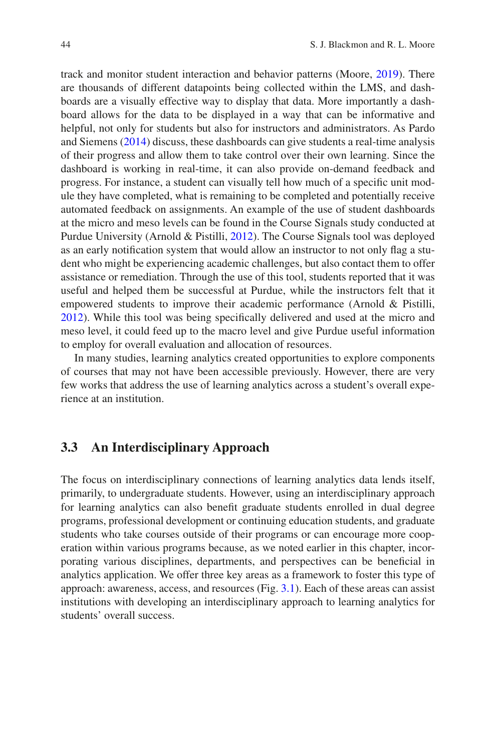track and monitor student interaction and behavior patterns (Moore, [2019](#page-13-5)). There are thousands of different datapoints being collected within the LMS, and dashboards are a visually effective way to display that data. More importantly a dashboard allows for the data to be displayed in a way that can be informative and helpful, not only for students but also for instructors and administrators. As Pardo and Siemens ([2014\)](#page-13-4) discuss, these dashboards can give students a real-time analysis of their progress and allow them to take control over their own learning. Since the dashboard is working in real-time, it can also provide on-demand feedback and progress. For instance, a student can visually tell how much of a specific unit module they have completed, what is remaining to be completed and potentially receive automated feedback on assignments. An example of the use of student dashboards at the micro and meso levels can be found in the Course Signals study conducted at Purdue University (Arnold & Pistilli, [2012](#page-12-6)). The Course Signals tool was deployed as an early notification system that would allow an instructor to not only flag a student who might be experiencing academic challenges, but also contact them to offer assistance or remediation. Through the use of this tool, students reported that it was useful and helped them be successful at Purdue, while the instructors felt that it empowered students to improve their academic performance (Arnold & Pistilli, [2012\)](#page-12-6). While this tool was being specifically delivered and used at the micro and meso level, it could feed up to the macro level and give Purdue useful information to employ for overall evaluation and allocation of resources.

In many studies, learning analytics created opportunities to explore components of courses that may not have been accessible previously. However, there are very few works that address the use of learning analytics across a student's overall experience at an institution.

#### **3.3 An Interdisciplinary Approach**

The focus on interdisciplinary connections of learning analytics data lends itself, primarily, to undergraduate students. However, using an interdisciplinary approach for learning analytics can also benefit graduate students enrolled in dual degree programs, professional development or continuing education students, and graduate students who take courses outside of their programs or can encourage more cooperation within various programs because, as we noted earlier in this chapter, incorporating various disciplines, departments, and perspectives can be beneficial in analytics application. We offer three key areas as a framework to foster this type of approach: awareness, access, and resources (Fig. [3.1\)](#page-7-0). Each of these areas can assist institutions with developing an interdisciplinary approach to learning analytics for students' overall success.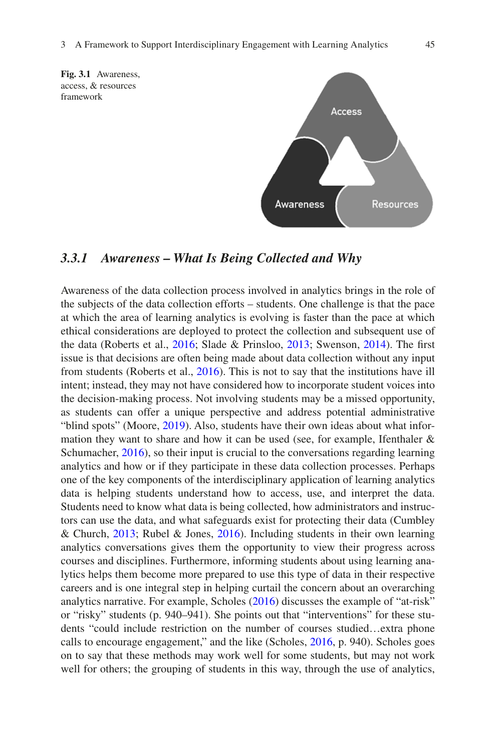<span id="page-7-0"></span>



#### *3.3.1 Awareness – What Is Being Collected and Why*

Awareness of the data collection process involved in analytics brings in the role of the subjects of the data collection efforts – students. One challenge is that the pace at which the area of learning analytics is evolving is faster than the pace at which ethical considerations are deployed to protect the collection and subsequent use of the data (Roberts et al., [2016;](#page-14-4) Slade & Prinsloo, [2013](#page-14-9); Swenson, [2014](#page-14-10)). The first issue is that decisions are often being made about data collection without any input from students (Roberts et al., [2016](#page-14-4)). This is not to say that the institutions have ill intent; instead, they may not have considered how to incorporate student voices into the decision-making process. Not involving students may be a missed opportunity, as students can offer a unique perspective and address potential administrative "blind spots" (Moore, [2019](#page-13-5)). Also, students have their own ideas about what information they want to share and how it can be used (see, for example, Ifenthaler  $\&$ Schumacher, [2016\)](#page-13-16), so their input is crucial to the conversations regarding learning analytics and how or if they participate in these data collection processes. Perhaps one of the key components of the interdisciplinary application of learning analytics data is helping students understand how to access, use, and interpret the data. Students need to know what data is being collected, how administrators and instructors can use the data, and what safeguards exist for protecting their data (Cumbley & Church, [2013](#page-12-7); Rubel & Jones, [2016\)](#page-14-11). Including students in their own learning analytics conversations gives them the opportunity to view their progress across courses and disciplines. Furthermore, informing students about using learning analytics helps them become more prepared to use this type of data in their respective careers and is one integral step in helping curtail the concern about an overarching analytics narrative. For example, Scholes ([2016\)](#page-14-12) discusses the example of "at-risk" or "risky" students (p. 940–941). She points out that "interventions" for these students "could include restriction on the number of courses studied…extra phone calls to encourage engagement," and the like (Scholes, [2016,](#page-14-12) p. 940). Scholes goes on to say that these methods may work well for some students, but may not work well for others; the grouping of students in this way, through the use of analytics,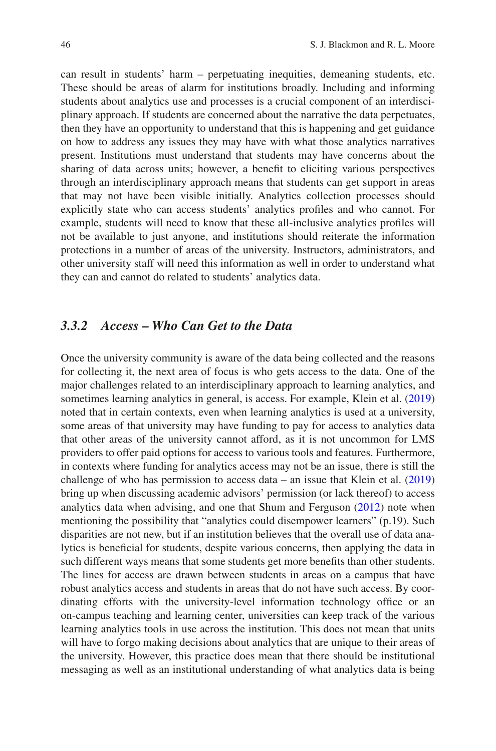can result in students' harm – perpetuating inequities, demeaning students, etc. These should be areas of alarm for institutions broadly. Including and informing students about analytics use and processes is a crucial component of an interdisciplinary approach. If students are concerned about the narrative the data perpetuates, then they have an opportunity to understand that this is happening and get guidance on how to address any issues they may have with what those analytics narratives present. Institutions must understand that students may have concerns about the sharing of data across units; however, a benefit to eliciting various perspectives through an interdisciplinary approach means that students can get support in areas that may not have been visible initially. Analytics collection processes should explicitly state who can access students' analytics profiles and who cannot. For example, students will need to know that these all-inclusive analytics profiles will not be available to just anyone, and institutions should reiterate the information protections in a number of areas of the university. Instructors, administrators, and other university staff will need this information as well in order to understand what they can and cannot do related to students' analytics data.

#### *3.3.2 Access – Who Can Get to the Data*

Once the university community is aware of the data being collected and the reasons for collecting it, the next area of focus is who gets access to the data. One of the major challenges related to an interdisciplinary approach to learning analytics, and sometimes learning analytics in general, is access. For example, Klein et al. [\(2019](#page-13-10)) noted that in certain contexts, even when learning analytics is used at a university, some areas of that university may have funding to pay for access to analytics data that other areas of the university cannot afford, as it is not uncommon for LMS providers to offer paid options for access to various tools and features. Furthermore, in contexts where funding for analytics access may not be an issue, there is still the challenge of who has permission to access data – an issue that Klein et al.  $(2019)$  $(2019)$ bring up when discussing academic advisors' permission (or lack thereof) to access analytics data when advising, and one that Shum and Ferguson [\(2012](#page-14-13)) note when mentioning the possibility that "analytics could disempower learners" (p.19). Such disparities are not new, but if an institution believes that the overall use of data analytics is beneficial for students, despite various concerns, then applying the data in such different ways means that some students get more benefits than other students. The lines for access are drawn between students in areas on a campus that have robust analytics access and students in areas that do not have such access. By coordinating efforts with the university-level information technology office or an on-campus teaching and learning center, universities can keep track of the various learning analytics tools in use across the institution. This does not mean that units will have to forgo making decisions about analytics that are unique to their areas of the university. However, this practice does mean that there should be institutional messaging as well as an institutional understanding of what analytics data is being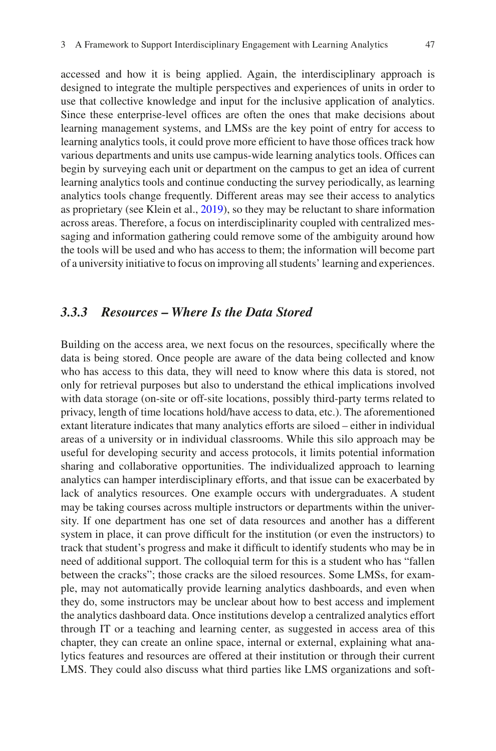accessed and how it is being applied. Again, the interdisciplinary approach is designed to integrate the multiple perspectives and experiences of units in order to use that collective knowledge and input for the inclusive application of analytics. Since these enterprise-level offices are often the ones that make decisions about learning management systems, and LMSs are the key point of entry for access to learning analytics tools, it could prove more efficient to have those offices track how various departments and units use campus-wide learning analytics tools. Offices can begin by surveying each unit or department on the campus to get an idea of current learning analytics tools and continue conducting the survey periodically, as learning analytics tools change frequently. Different areas may see their access to analytics as proprietary (see Klein et al., [2019\)](#page-13-10), so they may be reluctant to share information across areas. Therefore, a focus on interdisciplinarity coupled with centralized messaging and information gathering could remove some of the ambiguity around how the tools will be used and who has access to them; the information will become part of a university initiative to focus on improving all students' learning and experiences.

#### *3.3.3 Resources – Where Is the Data Stored*

Building on the access area, we next focus on the resources, specifically where the data is being stored. Once people are aware of the data being collected and know who has access to this data, they will need to know where this data is stored, not only for retrieval purposes but also to understand the ethical implications involved with data storage (on-site or off-site locations, possibly third-party terms related to privacy, length of time locations hold/have access to data, etc.). The aforementioned extant literature indicates that many analytics efforts are siloed – either in individual areas of a university or in individual classrooms. While this silo approach may be useful for developing security and access protocols, it limits potential information sharing and collaborative opportunities. The individualized approach to learning analytics can hamper interdisciplinary efforts, and that issue can be exacerbated by lack of analytics resources. One example occurs with undergraduates. A student may be taking courses across multiple instructors or departments within the university. If one department has one set of data resources and another has a different system in place, it can prove difficult for the institution (or even the instructors) to track that student's progress and make it difficult to identify students who may be in need of additional support. The colloquial term for this is a student who has "fallen between the cracks"; those cracks are the siloed resources. Some LMSs, for example, may not automatically provide learning analytics dashboards, and even when they do, some instructors may be unclear about how to best access and implement the analytics dashboard data. Once institutions develop a centralized analytics effort through IT or a teaching and learning center, as suggested in access area of this chapter, they can create an online space, internal or external, explaining what analytics features and resources are offered at their institution or through their current LMS. They could also discuss what third parties like LMS organizations and soft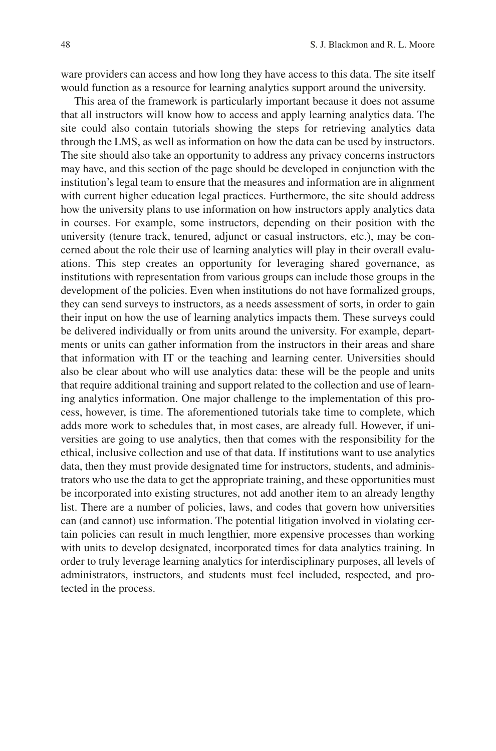ware providers can access and how long they have access to this data. The site itself would function as a resource for learning analytics support around the university.

This area of the framework is particularly important because it does not assume that all instructors will know how to access and apply learning analytics data. The site could also contain tutorials showing the steps for retrieving analytics data through the LMS, as well as information on how the data can be used by instructors. The site should also take an opportunity to address any privacy concerns instructors may have, and this section of the page should be developed in conjunction with the institution's legal team to ensure that the measures and information are in alignment with current higher education legal practices. Furthermore, the site should address how the university plans to use information on how instructors apply analytics data in courses. For example, some instructors, depending on their position with the university (tenure track, tenured, adjunct or casual instructors, etc.), may be concerned about the role their use of learning analytics will play in their overall evaluations. This step creates an opportunity for leveraging shared governance, as institutions with representation from various groups can include those groups in the development of the policies. Even when institutions do not have formalized groups, they can send surveys to instructors, as a needs assessment of sorts, in order to gain their input on how the use of learning analytics impacts them. These surveys could be delivered individually or from units around the university. For example, departments or units can gather information from the instructors in their areas and share that information with IT or the teaching and learning center. Universities should also be clear about who will use analytics data: these will be the people and units that require additional training and support related to the collection and use of learning analytics information. One major challenge to the implementation of this process, however, is time. The aforementioned tutorials take time to complete, which adds more work to schedules that, in most cases, are already full. However, if universities are going to use analytics, then that comes with the responsibility for the ethical, inclusive collection and use of that data. If institutions want to use analytics data, then they must provide designated time for instructors, students, and administrators who use the data to get the appropriate training, and these opportunities must be incorporated into existing structures, not add another item to an already lengthy list. There are a number of policies, laws, and codes that govern how universities can (and cannot) use information. The potential litigation involved in violating certain policies can result in much lengthier, more expensive processes than working with units to develop designated, incorporated times for data analytics training. In order to truly leverage learning analytics for interdisciplinary purposes, all levels of administrators, instructors, and students must feel included, respected, and protected in the process.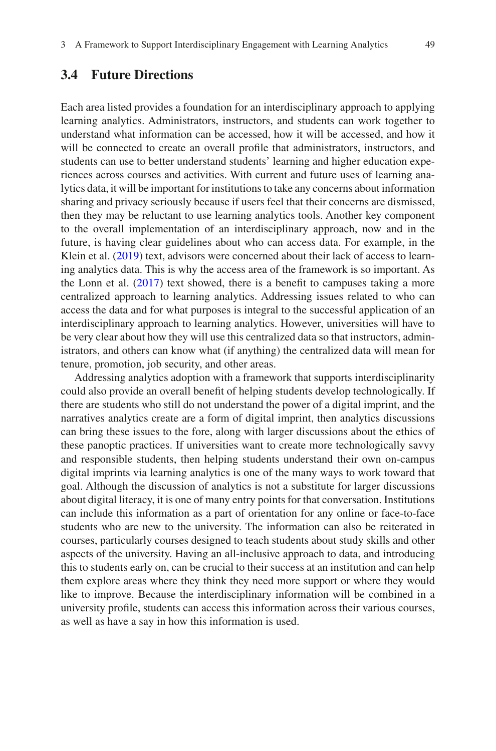## **3.4 Future Directions**

Each area listed provides a foundation for an interdisciplinary approach to applying learning analytics. Administrators, instructors, and students can work together to understand what information can be accessed, how it will be accessed, and how it will be connected to create an overall profile that administrators, instructors, and students can use to better understand students' learning and higher education experiences across courses and activities. With current and future uses of learning analytics data, it will be important for institutions to take any concerns about information sharing and privacy seriously because if users feel that their concerns are dismissed, then they may be reluctant to use learning analytics tools. Another key component to the overall implementation of an interdisciplinary approach, now and in the future, is having clear guidelines about who can access data. For example, in the Klein et al. [\(2019](#page-13-10)) text, advisors were concerned about their lack of access to learning analytics data. This is why the access area of the framework is so important. As the Lonn et al.  $(2017)$  $(2017)$  text showed, there is a benefit to campuses taking a more centralized approach to learning analytics. Addressing issues related to who can access the data and for what purposes is integral to the successful application of an interdisciplinary approach to learning analytics. However, universities will have to be very clear about how they will use this centralized data so that instructors, administrators, and others can know what (if anything) the centralized data will mean for tenure, promotion, job security, and other areas.

Addressing analytics adoption with a framework that supports interdisciplinarity could also provide an overall benefit of helping students develop technologically. If there are students who still do not understand the power of a digital imprint, and the narratives analytics create are a form of digital imprint, then analytics discussions can bring these issues to the fore, along with larger discussions about the ethics of these panoptic practices. If universities want to create more technologically savvy and responsible students, then helping students understand their own on-campus digital imprints via learning analytics is one of the many ways to work toward that goal. Although the discussion of analytics is not a substitute for larger discussions about digital literacy, it is one of many entry points for that conversation. Institutions can include this information as a part of orientation for any online or face-to-face students who are new to the university. The information can also be reiterated in courses, particularly courses designed to teach students about study skills and other aspects of the university. Having an all-inclusive approach to data, and introducing this to students early on, can be crucial to their success at an institution and can help them explore areas where they think they need more support or where they would like to improve. Because the interdisciplinary information will be combined in a university profile, students can access this information across their various courses, as well as have a say in how this information is used.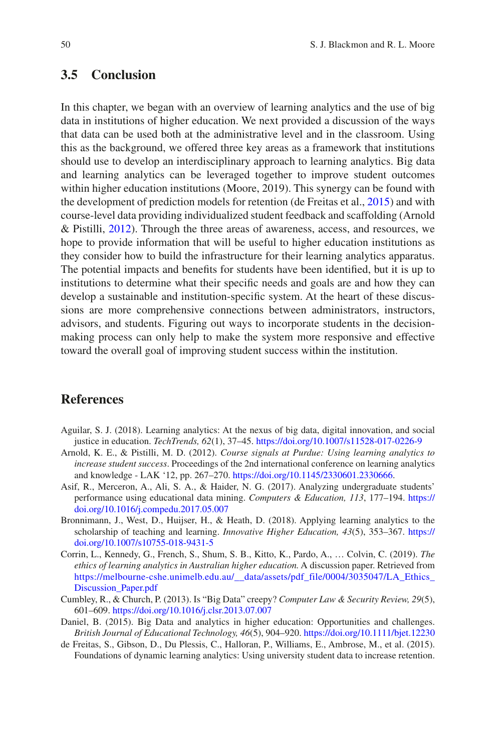### **3.5 Conclusion**

In this chapter, we began with an overview of learning analytics and the use of big data in institutions of higher education. We next provided a discussion of the ways that data can be used both at the administrative level and in the classroom. Using this as the background, we offered three key areas as a framework that institutions should use to develop an interdisciplinary approach to learning analytics. Big data and learning analytics can be leveraged together to improve student outcomes within higher education institutions (Moore, 2019). This synergy can be found with the development of prediction models for retention (de Freitas et al., [2015\)](#page-12-1) and with course-level data providing individualized student feedback and scaffolding (Arnold & Pistilli, [2012](#page-12-6)). Through the three areas of awareness, access, and resources, we hope to provide information that will be useful to higher education institutions as they consider how to build the infrastructure for their learning analytics apparatus. The potential impacts and benefits for students have been identified, but it is up to institutions to determine what their specific needs and goals are and how they can develop a sustainable and institution-specific system. At the heart of these discussions are more comprehensive connections between administrators, instructors, advisors, and students. Figuring out ways to incorporate students in the decisionmaking process can only help to make the system more responsive and effective toward the overall goal of improving student success within the institution.

#### **References**

- <span id="page-12-4"></span>Aguilar, S. J. (2018). Learning analytics: At the nexus of big data, digital innovation, and social justice in education. *TechTrends, 62*(1), 37–45.<https://doi.org/10.1007/s11528-017-0226-9>
- <span id="page-12-6"></span>Arnold, K. E., & Pistilli, M. D. (2012). *Course signals at Purdue: Using learning analytics to increase student success*. Proceedings of the 2nd international conference on learning analytics and knowledge - LAK '12, pp. 267–270.<https://doi.org/10.1145/2330601.2330666>.
- <span id="page-12-2"></span>Asif, R., Merceron, A., Ali, S. A., & Haider, N. G. (2017). Analyzing undergraduate students' performance using educational data mining. *Computers & Education, 113*, 177–194. [https://](https://doi.org/10.1016/j.compedu.2017.05.007) [doi.org/10.1016/j.compedu.2017.05.007](https://doi.org/10.1016/j.compedu.2017.05.007)
- <span id="page-12-5"></span>Bronnimann, J., West, D., Huijser, H., & Heath, D. (2018). Applying learning analytics to the scholarship of teaching and learning. *Innovative Higher Education, 43*(5), 353–367. [https://](https://doi.org/10.1007/s10755-018-9431-5) [doi.org/10.1007/s10755-018-9431-5](https://doi.org/10.1007/s10755-018-9431-5)
- <span id="page-12-3"></span>Corrin, L., Kennedy, G., French, S., Shum, S. B., Kitto, K., Pardo, A., … Colvin, C. (2019). *The ethics of learning analytics in Australian higher education.* A discussion paper. Retrieved from [https://melbourne-cshe.unimelb.edu.au/\\_\\_data/assets/pdf\\_file/0004/3035047/LA\\_Ethics\\_](https://melbourne-cshe.unimelb.edu.au/__data/assets/pdf_file/0004/3035047/LA_Ethics_Discussion_Paper.pdf) [Discussion\\_Paper.pdf](https://melbourne-cshe.unimelb.edu.au/__data/assets/pdf_file/0004/3035047/LA_Ethics_Discussion_Paper.pdf)
- <span id="page-12-7"></span>Cumbley, R., & Church, P. (2013). Is "Big Data" creepy? *Computer Law & Security Review, 29*(5), 601–609. <https://doi.org/10.1016/j.clsr.2013.07.007>
- <span id="page-12-0"></span>Daniel, B. (2015). Big Data and analytics in higher education: Opportunities and challenges. *British Journal of Educational Technology, 46*(5), 904–920.<https://doi.org/10.1111/bjet.12230>
- <span id="page-12-1"></span>de Freitas, S., Gibson, D., Du Plessis, C., Halloran, P., Williams, E., Ambrose, M., et al. (2015). Foundations of dynamic learning analytics: Using university student data to increase retention.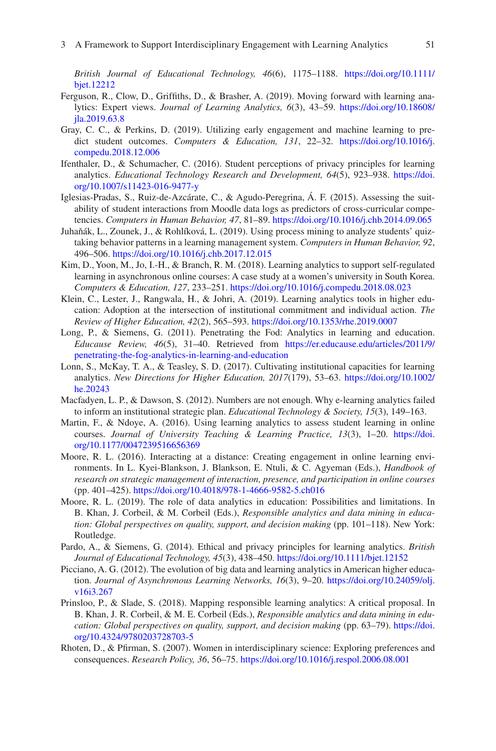*British Journal of Educational Technology, 46*(6), 1175–1188. [https://doi.org/10.1111/](https://doi.org/10.1111/bjet.12212) [bjet.12212](https://doi.org/10.1111/bjet.12212)

- <span id="page-13-0"></span>Ferguson, R., Clow, D., Griffiths, D., & Brasher, A. (2019). Moving forward with learning analytics: Expert views. *Journal of Learning Analytics, 6*(3), 43–59. [https://doi.org/10.18608/](https://doi.org/10.18608/jla.2019.63.8) [jla.2019.63.8](https://doi.org/10.18608/jla.2019.63.8)
- <span id="page-13-8"></span>Gray, C. C., & Perkins, D. (2019). Utilizing early engagement and machine learning to predict student outcomes. *Computers & Education, 131*, 22–32. [https://doi.org/10.1016/j.](https://doi.org/10.1016/j.compedu.2018.12.006) [compedu.2018.12.006](https://doi.org/10.1016/j.compedu.2018.12.006)
- <span id="page-13-16"></span>Ifenthaler, D., & Schumacher, C. (2016). Student perceptions of privacy principles for learning analytics. *Educational Technology Research and Development, 64*(5), 923–938. [https://doi.](https://doi.org/10.1007/s11423-016-9477-y) [org/10.1007/s11423-016-9477-y](https://doi.org/10.1007/s11423-016-9477-y)
- <span id="page-13-15"></span>Iglesias-Pradas, S., Ruiz-de-Azcárate, C., & Agudo-Peregrina, Á. F. (2015). Assessing the suitability of student interactions from Moodle data logs as predictors of cross-curricular competencies. *Computers in Human Behavior, 47*, 81–89. <https://doi.org/10.1016/j.chb.2014.09.065>
- <span id="page-13-13"></span>Juhaňák, L., Zounek, J., & Rohlíková, L. (2019). Using process mining to analyze students' quiztaking behavior patterns in a learning management system. *Computers in Human Behavior, 92*, 496–506. <https://doi.org/10.1016/j.chb.2017.12.015>
- <span id="page-13-14"></span>Kim, D., Yoon, M., Jo, I.-H., & Branch, R. M. (2018). Learning analytics to support self-regulated learning in asynchronous online courses: A case study at a women's university in South Korea. *Computers & Education, 127*, 233–251.<https://doi.org/10.1016/j.compedu.2018.08.023>
- <span id="page-13-10"></span>Klein, C., Lester, J., Rangwala, H., & Johri, A. (2019). Learning analytics tools in higher education: Adoption at the intersection of institutional commitment and individual action. *The Review of Higher Education, 42*(2), 565–593.<https://doi.org/10.1353/rhe.2019.0007>
- <span id="page-13-7"></span>Long, P., & Siemens, G. (2011). Penetrating the Fod: Analytics in learning and education. *Educause Review, 46*(5), 31–40. Retrieved from [https://er.educause.edu/articles/2011/9/](https://er.educause.edu/articles/2011/9/penetrating-the-fog-analytics-in-learning-and-education) [penetrating-the-fog-analytics-in-learning-and-education](https://er.educause.edu/articles/2011/9/penetrating-the-fog-analytics-in-learning-and-education)
- <span id="page-13-9"></span>Lonn, S., McKay, T. A., & Teasley, S. D. (2017). Cultivating institutional capacities for learning analytics. *New Directions for Higher Education, 2017*(179), 53–63. [https://doi.org/10.1002/](https://doi.org/10.1002/he.20243) [he.20243](https://doi.org/10.1002/he.20243)
- <span id="page-13-11"></span>Macfadyen, L. P., & Dawson, S. (2012). Numbers are not enough. Why e-learning analytics failed to inform an institutional strategic plan. *Educational Technology & Society, 15*(3), 149–163.
- <span id="page-13-12"></span>Martin, F., & Ndoye, A. (2016). Using learning analytics to assess student learning in online courses. *Journal of University Teaching & Learning Practice, 13*(3), 1–20. [https://doi.](https://doi.org/10.1177/0047239516656369) [org/10.1177/0047239516656369](https://doi.org/10.1177/0047239516656369)
- <span id="page-13-6"></span>Moore, R. L. (2016). Interacting at a distance: Creating engagement in online learning environments. In L. Kyei-Blankson, J. Blankson, E. Ntuli, & C. Agyeman (Eds.), *Handbook of research on strategic management of interaction, presence, and participation in online courses* (pp. 401–425).<https://doi.org/10.4018/978-1-4666-9582-5.ch016>
- <span id="page-13-5"></span>Moore, R. L. (2019). The role of data analytics in education: Possibilities and limitations. In B. Khan, J. Corbeil, & M. Corbeil (Eds.), *Responsible analytics and data mining in education: Global perspectives on quality, support, and decision making* (pp. 101–118). New York: Routledge.
- <span id="page-13-4"></span>Pardo, A., & Siemens, G. (2014). Ethical and privacy principles for learning analytics. *British Journal of Educational Technology, 45*(3), 438–450. <https://doi.org/10.1111/bjet.12152>
- <span id="page-13-2"></span>Picciano, A. G. (2012). The evolution of big data and learning analytics in American higher education. *Journal of Asynchronous Learning Networks, 16*(3), 9–20. [https://doi.org/10.24059/olj.](https://doi.org/10.24059/olj.v16i3.267) [v16i3.267](https://doi.org/10.24059/olj.v16i3.267)
- <span id="page-13-1"></span>Prinsloo, P., & Slade, S. (2018). Mapping responsible learning analytics: A critical proposal. In B. Khan, J. R. Corbeil, & M. E. Corbeil (Eds.), *Responsible analytics and data mining in education: Global perspectives on quality, support, and decision making* (pp. 63–79). [https://doi.](https://doi.org/10.4324/9780203728703-5) [org/10.4324/9780203728703-5](https://doi.org/10.4324/9780203728703-5)
- <span id="page-13-3"></span>Rhoten, D., & Pfirman, S. (2007). Women in interdisciplinary science: Exploring preferences and consequences. *Research Policy, 36*, 56–75.<https://doi.org/10.1016/j.respol.2006.08.001>